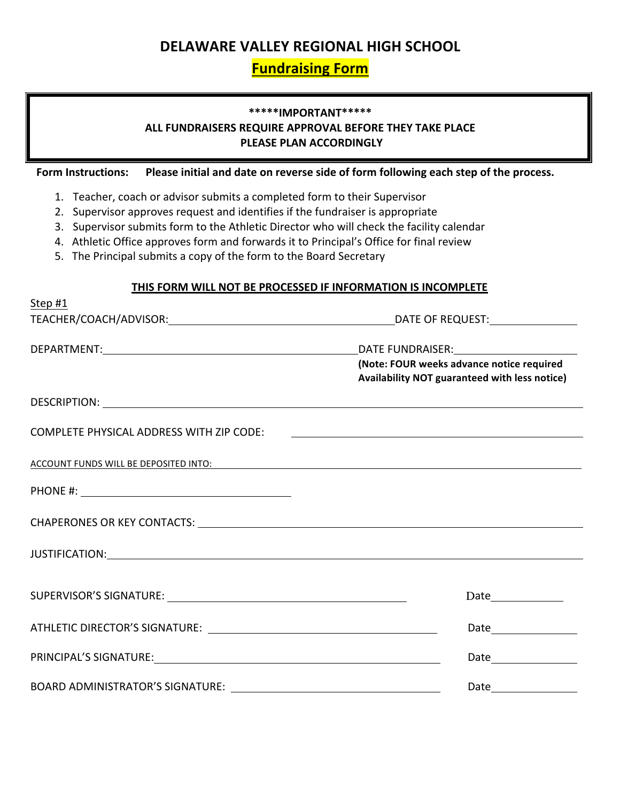# **DELAWARE VALLEY REGIONAL HIGH SCHOOL**

## **Fundraising Form**

### **\*\*\*\*\*IMPORTANT\*\*\*\*\* ALL FUNDRAISERS REQUIRE APPROVAL BEFORE THEY TAKE PLACE PLEASE PLAN ACCORDINGLY**

**Form Instructions:** Please initial and date on reverse side of form following each step of the process.

- 1. Teacher, coach or advisor submits a completed form to their Supervisor
- 2. Supervisor approves request and identifies if the fundraiser is appropriate
- 3. Supervisor submits form to the Athletic Director who will check the facility calendar
- 4. Athletic Office approves form and forwards it to Principal's Office for final review
- 5. The Principal submits a copy of the form to the Board Secretary

### **THIS FORM WILL NOT BE PROCESSED IF INFORMATION IS INCOMPLETE**

| Step #1                                                                                                        |                                                                                                                       |
|----------------------------------------------------------------------------------------------------------------|-----------------------------------------------------------------------------------------------------------------------|
|                                                                                                                |                                                                                                                       |
|                                                                                                                |                                                                                                                       |
|                                                                                                                | (Note: FOUR weeks advance notice required<br>Availability NOT guaranteed with less notice)                            |
|                                                                                                                |                                                                                                                       |
| COMPLETE PHYSICAL ADDRESS WITH ZIP CODE:                                                                       | <u> 1989 - Johann Harry Harry Harry Harry Harry Harry Harry Harry Harry Harry Harry Harry Harry Harry Harry Harry</u> |
| ACCOUNT FUNDS WILL BE DEPOSITED INTO: WELL ASSESSED AND THE RESERVE TO A REPORT OF A REPORT OF A REPORT OF A R |                                                                                                                       |
|                                                                                                                |                                                                                                                       |
|                                                                                                                |                                                                                                                       |
|                                                                                                                |                                                                                                                       |
|                                                                                                                |                                                                                                                       |
|                                                                                                                | Date________________                                                                                                  |
|                                                                                                                |                                                                                                                       |
|                                                                                                                |                                                                                                                       |